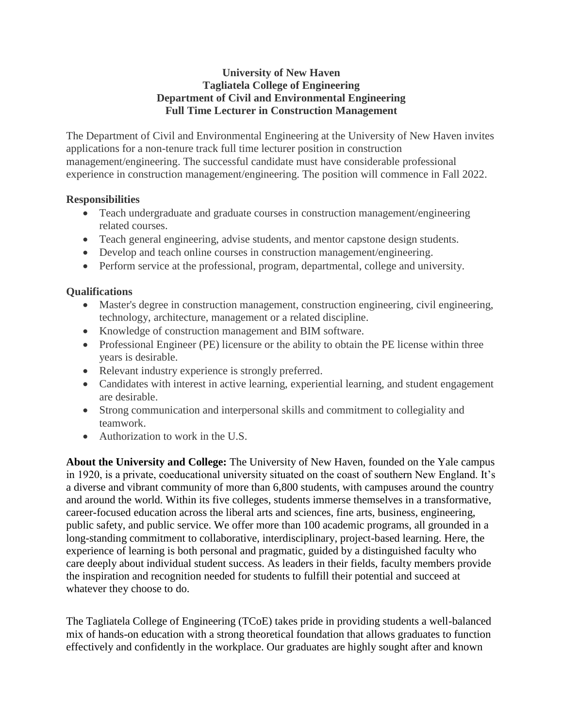## **University of New Haven Tagliatela College of Engineering Department of Civil and Environmental Engineering Full Time Lecturer in Construction Management**

The Department of Civil and Environmental Engineering at the University of New Haven invites applications for a non-tenure track full time lecturer position in construction management/engineering. The successful candidate must have considerable professional experience in construction management/engineering. The position will commence in Fall 2022.

## **Responsibilities**

- Teach undergraduate and graduate courses in construction management/engineering related courses.
- Teach general engineering, advise students, and mentor capstone design students.
- Develop and teach online courses in construction management/engineering.
- Perform service at the professional, program, departmental, college and university.

## **Qualifications**

- Master's degree in construction management, construction engineering, civil engineering, technology, architecture, management or a related discipline.
- Knowledge of construction management and BIM software.
- Professional Engineer (PE) licensure or the ability to obtain the PE license within three years is desirable.
- Relevant industry experience is strongly preferred.
- Candidates with interest in active learning, experiential learning, and student engagement are desirable.
- Strong communication and interpersonal skills and commitment to collegiality and teamwork.
- Authorization to work in the U.S.

**About the University and College:** The University of New Haven, founded on the Yale campus in 1920, is a private, coeducational university situated on the coast of southern New England. It's a diverse and vibrant community of more than 6,800 students, with campuses around the country and around the world. Within its five colleges, students immerse themselves in a transformative, career-focused education across the liberal arts and sciences, fine arts, business, engineering, public safety, and public service. We offer more than 100 academic programs, all grounded in a long-standing commitment to collaborative, interdisciplinary, project-based learning. Here, the experience of learning is both personal and pragmatic, guided by a distinguished faculty who care deeply about individual student success. As leaders in their fields, faculty members provide the inspiration and recognition needed for students to fulfill their potential and succeed at whatever they choose to do.

The Tagliatela College of Engineering (TCoE) takes pride in providing students a well-balanced mix of hands-on education with a strong theoretical foundation that allows graduates to function effectively and confidently in the workplace. Our graduates are highly sought after and known